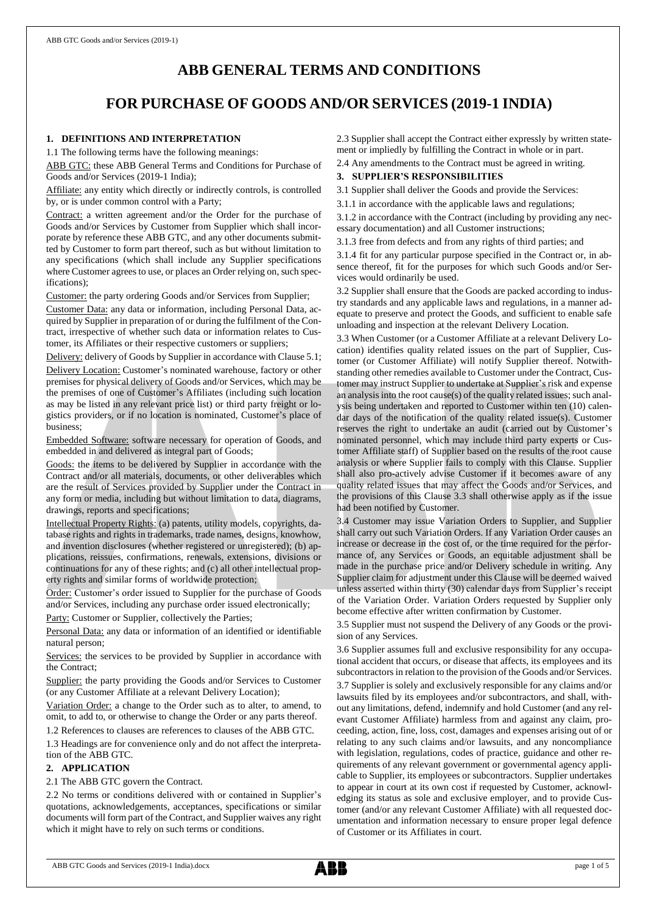# **ABB GENERAL TERMS AND CONDITIONS**

# **FOR PURCHASE OF GOODS AND/OR SERVICES (2019-1 INDIA)**

# **1. DEFINITIONS AND INTERPRETATION**

1.1 The following terms have the following meanings:

ABB GTC: these ABB General Terms and Conditions for Purchase of Goods and/or Services (2019-1 India);

Affiliate: any entity which directly or indirectly controls, is controlled by, or is under common control with a Party;

Contract: a written agreement and/or the Order for the purchase of Goods and/or Services by Customer from Supplier which shall incorporate by reference these ABB GTC, and any other documents submitted by Customer to form part thereof, such as but without limitation to any specifications (which shall include any Supplier specifications where Customer agrees to use, or places an Order relying on, such specifications);

Customer: the party ordering Goods and/or Services from Supplier;

Customer Data: any data or information, including Personal Data, acquired by Supplier in preparation of or during the fulfilment of the Contract, irrespective of whether such data or information relates to Customer, its Affiliates or their respective customers or suppliers;

Delivery: delivery of Goods by Supplier in accordance with Clause 5.1; Delivery Location: Customer's nominated warehouse, factory or other premises for physical delivery of Goods and/or Services, which may be the premises of one of Customer's Affiliates (including such location as may be listed in any relevant price list) or third party freight or logistics providers, or if no location is nominated, Customer's place of business;

Embedded Software: software necessary for operation of Goods, and embedded in and delivered as integral part of Goods;

Goods: the items to be delivered by Supplier in accordance with the Contract and/or all materials, documents, or other deliverables which are the result of Services provided by Supplier under the Contract in any form or media, including but without limitation to data, diagrams, drawings, reports and specifications;

Intellectual Property Rights: (a) patents, utility models, copyrights, database rights and rights in trademarks, trade names, designs, knowhow, and invention disclosures (whether registered or unregistered); (b) applications, reissues, confirmations, renewals, extensions, divisions or continuations for any of these rights; and (c) all other intellectual property rights and similar forms of worldwide protection;

Order: Customer's order issued to Supplier for the purchase of Goods and/or Services, including any purchase order issued electronically;

Party: Customer or Supplier, collectively the Parties;

Personal Data: any data or information of an identified or identifiable natural person;

Services: the services to be provided by Supplier in accordance with the Contract;

Supplier: the party providing the Goods and/or Services to Customer (or any Customer Affiliate at a relevant Delivery Location);

Variation Order: a change to the Order such as to alter, to amend, to omit, to add to, or otherwise to change the Order or any parts thereof.

1.2 References to clauses are references to clauses of the ABB GTC.

1.3 Headings are for convenience only and do not affect the interpretation of the ABB GTC.

# **2. APPLICATION**

#### 2.1 The ABB GTC govern the Contract.

2.2 No terms or conditions delivered with or contained in Supplier's quotations, acknowledgements, acceptances, specifications or similar documents will form part of the Contract, and Supplier waives any right which it might have to rely on such terms or conditions.

2.3 Supplier shall accept the Contract either expressly by written statement or impliedly by fulfilling the Contract in whole or in part.

2.4 Any amendments to the Contract must be agreed in writing.

# **3. SUPPLIER'S RESPONSIBILITIES**

3.1 Supplier shall deliver the Goods and provide the Services:

3.1.1 in accordance with the applicable laws and regulations;

3.1.2 in accordance with the Contract (including by providing any necessary documentation) and all Customer instructions;

3.1.3 free from defects and from any rights of third parties; and

3.1.4 fit for any particular purpose specified in the Contract or, in absence thereof, fit for the purposes for which such Goods and/or Services would ordinarily be used.

3.2 Supplier shall ensure that the Goods are packed according to industry standards and any applicable laws and regulations, in a manner adequate to preserve and protect the Goods, and sufficient to enable safe unloading and inspection at the relevant Delivery Location.

3.3 When Customer (or a Customer Affiliate at a relevant Delivery Location) identifies quality related issues on the part of Supplier, Customer (or Customer Affiliate) will notify Supplier thereof. Notwithstanding other remedies available to Customer under the Contract, Customer may instruct Supplier to undertake at Supplier's risk and expense an analysis into the root cause(s) of the quality related issues; such analysis being undertaken and reported to Customer within ten (10) calendar days of the notification of the quality related issue(s). Customer reserves the right to undertake an audit (carried out by Customer's nominated personnel, which may include third party experts or Customer Affiliate staff) of Supplier based on the results of the root cause analysis or where Supplier fails to comply with this Clause. Supplier shall also pro-actively advise Customer if it becomes aware of any quality related issues that may affect the Goods and/or Services, and the provisions of this Clause 3.3 shall otherwise apply as if the issue had been notified by Customer.

3.4 Customer may issue Variation Orders to Supplier, and Supplier shall carry out such Variation Orders. If any Variation Order causes an increase or decrease in the cost of, or the time required for the performance of, any Services or Goods, an equitable adjustment shall be made in the purchase price and/or Delivery schedule in writing. Any Supplier claim for adjustment under this Clause will be deemed waived unless asserted within thirty (30) calendar days from Supplier's receipt of the Variation Order. Variation Orders requested by Supplier only become effective after written confirmation by Customer.

3.5 Supplier must not suspend the Delivery of any Goods or the provision of any Services.

3.6 Supplier assumes full and exclusive responsibility for any occupational accident that occurs, or disease that affects, its employees and its subcontractors in relation to the provision of the Goods and/or Services. 3.7 Supplier is solely and exclusively responsible for any claims and/or lawsuits filed by its employees and/or subcontractors, and shall, without any limitations, defend, indemnify and hold Customer (and any relevant Customer Affiliate) harmless from and against any claim, proceeding, action, fine, loss, cost, damages and expenses arising out of or relating to any such claims and/or lawsuits, and any noncompliance with legislation, regulations, codes of practice, guidance and other requirements of any relevant government or governmental agency applicable to Supplier, its employees or subcontractors. Supplier undertakes to appear in court at its own cost if requested by Customer, acknowledging its status as sole and exclusive employer, and to provide Customer (and/or any relevant Customer Affiliate) with all requested documentation and information necessary to ensure proper legal defence of Customer or its Affiliates in court.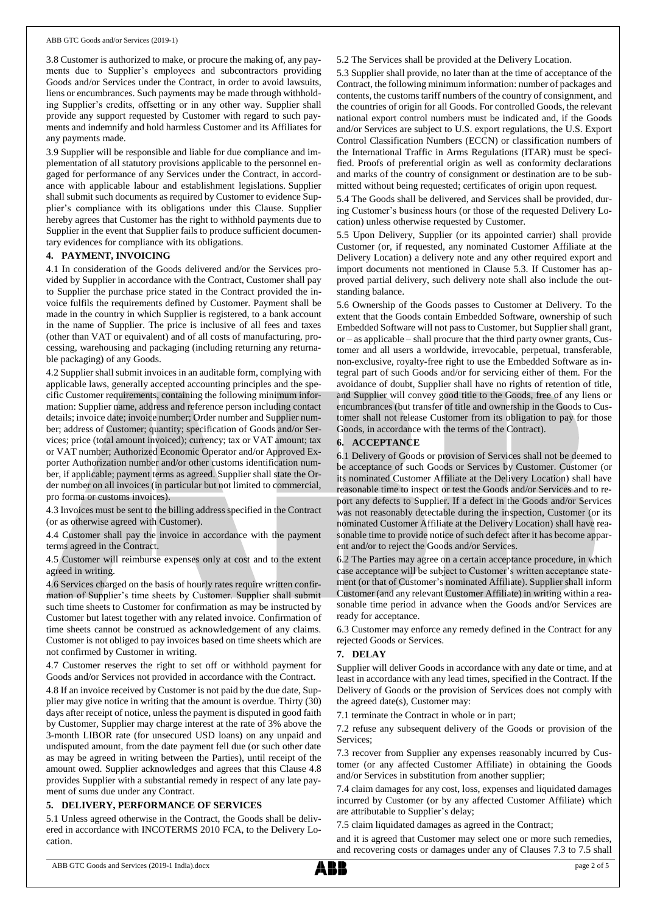3.8 Customer is authorized to make, or procure the making of, any payments due to Supplier's employees and subcontractors providing Goods and/or Services under the Contract, in order to avoid lawsuits, liens or encumbrances. Such payments may be made through withholding Supplier's credits, offsetting or in any other way. Supplier shall provide any support requested by Customer with regard to such payments and indemnify and hold harmless Customer and its Affiliates for any payments made.

3.9 Supplier will be responsible and liable for due compliance and implementation of all statutory provisions applicable to the personnel engaged for performance of any Services under the Contract, in accordance with applicable labour and establishment legislations. Supplier shall submit such documents as required by Customer to evidence Supplier's compliance with its obligations under this Clause. Supplier hereby agrees that Customer has the right to withhold payments due to Supplier in the event that Supplier fails to produce sufficient documentary evidences for compliance with its obligations.

#### **4. PAYMENT, INVOICING**

4.1 In consideration of the Goods delivered and/or the Services provided by Supplier in accordance with the Contract, Customer shall pay to Supplier the purchase price stated in the Contract provided the invoice fulfils the requirements defined by Customer. Payment shall be made in the country in which Supplier is registered, to a bank account in the name of Supplier. The price is inclusive of all fees and taxes (other than VAT or equivalent) and of all costs of manufacturing, processing, warehousing and packaging (including returning any returnable packaging) of any Goods.

4.2 Supplier shall submit invoices in an auditable form, complying with applicable laws, generally accepted accounting principles and the specific Customer requirements, containing the following minimum information: Supplier name, address and reference person including contact details; invoice date; invoice number; Order number and Supplier number; address of Customer; quantity; specification of Goods and/or Services; price (total amount invoiced); currency; tax or VAT amount; tax or VAT number; Authorized Economic Operator and/or Approved Exporter Authorization number and/or other customs identification number, if applicable; payment terms as agreed. Supplier shall state the Order number on all invoices (in particular but not limited to commercial, pro forma or customs invoices).

4.3 Invoices must be sent to the billing address specified in the Contract (or as otherwise agreed with Customer).

4.4 Customer shall pay the invoice in accordance with the payment terms agreed in the Contract.

4.5 Customer will reimburse expenses only at cost and to the extent agreed in writing.

4.6 Services charged on the basis of hourly rates require written confirmation of Supplier's time sheets by Customer. Supplier shall submit such time sheets to Customer for confirmation as may be instructed by Customer but latest together with any related invoice. Confirmation of time sheets cannot be construed as acknowledgement of any claims. Customer is not obliged to pay invoices based on time sheets which are not confirmed by Customer in writing.

4.7 Customer reserves the right to set off or withhold payment for Goods and/or Services not provided in accordance with the Contract.

4.8 If an invoice received by Customer is not paid by the due date, Supplier may give notice in writing that the amount is overdue. Thirty (30) days after receipt of notice, unless the payment is disputed in good faith by Customer, Supplier may charge interest at the rate of 3% above the 3-month LIBOR rate (for unsecured USD loans) on any unpaid and undisputed amount, from the date payment fell due (or such other date as may be agreed in writing between the Parties), until receipt of the amount owed. Supplier acknowledges and agrees that this Clause 4.8 provides Supplier with a substantial remedy in respect of any late payment of sums due under any Contract.

## **5. DELIVERY, PERFORMANCE OF SERVICES**

5.1 Unless agreed otherwise in the Contract, the Goods shall be delivered in accordance with INCOTERMS 2010 FCA, to the Delivery Location.

5.2 The Services shall be provided at the Delivery Location.

5.3 Supplier shall provide, no later than at the time of acceptance of the Contract, the following minimum information: number of packages and contents, the customs tariff numbers of the country of consignment, and the countries of origin for all Goods. For controlled Goods, the relevant national export control numbers must be indicated and, if the Goods and/or Services are subject to U.S. export regulations, the U.S. Export Control Classification Numbers (ECCN) or classification numbers of the International Traffic in Arms Regulations (ITAR) must be specified. Proofs of preferential origin as well as conformity declarations and marks of the country of consignment or destination are to be submitted without being requested; certificates of origin upon request.

5.4 The Goods shall be delivered, and Services shall be provided, during Customer's business hours (or those of the requested Delivery Location) unless otherwise requested by Customer.

5.5 Upon Delivery, Supplier (or its appointed carrier) shall provide Customer (or, if requested, any nominated Customer Affiliate at the Delivery Location) a delivery note and any other required export and import documents not mentioned in Clause 5.3. If Customer has approved partial delivery, such delivery note shall also include the outstanding balance.

5.6 Ownership of the Goods passes to Customer at Delivery. To the extent that the Goods contain Embedded Software, ownership of such Embedded Software will not passto Customer, but Supplier shall grant, or – as applicable – shall procure that the third party owner grants, Customer and all users a worldwide, irrevocable, perpetual, transferable, non-exclusive, royalty-free right to use the Embedded Software as integral part of such Goods and/or for servicing either of them. For the avoidance of doubt, Supplier shall have no rights of retention of title, and Supplier will convey good title to the Goods, free of any liens or encumbrances (but transfer of title and ownership in the Goods to Customer shall not release Customer from its obligation to pay for those Goods, in accordance with the terms of the Contract).

## **6. ACCEPTANCE**

6.1 Delivery of Goods or provision of Services shall not be deemed to be acceptance of such Goods or Services by Customer. Customer (or its nominated Customer Affiliate at the Delivery Location) shall have reasonable time to inspect or test the Goods and/or Services and to report any defects to Supplier. If a defect in the Goods and/or Services was not reasonably detectable during the inspection, Customer (or its nominated Customer Affiliate at the Delivery Location) shall have reasonable time to provide notice of such defect after it has become apparent and/or to reject the Goods and/or Services.

6.2 The Parties may agree on a certain acceptance procedure, in which case acceptance will be subject to Customer's written acceptance statement (or that of Customer's nominated Affiliate). Supplier shall inform Customer (and any relevant Customer Affiliate) in writing within a reasonable time period in advance when the Goods and/or Services are ready for acceptance.

6.3 Customer may enforce any remedy defined in the Contract for any rejected Goods or Services.

## **7. DELAY**

Supplier will deliver Goods in accordance with any date or time, and at least in accordance with any lead times, specified in the Contract. If the Delivery of Goods or the provision of Services does not comply with the agreed date(s), Customer may:

7.1 terminate the Contract in whole or in part;

7.2 refuse any subsequent delivery of the Goods or provision of the Services;

7.3 recover from Supplier any expenses reasonably incurred by Customer (or any affected Customer Affiliate) in obtaining the Goods and/or Services in substitution from another supplier;

7.4 claim damages for any cost, loss, expenses and liquidated damages incurred by Customer (or by any affected Customer Affiliate) which are attributable to Supplier's delay;

7.5 claim liquidated damages as agreed in the Contract;

and it is agreed that Customer may select one or more such remedies, and recovering costs or damages under any of Clauses 7.3 to 7.5 shall

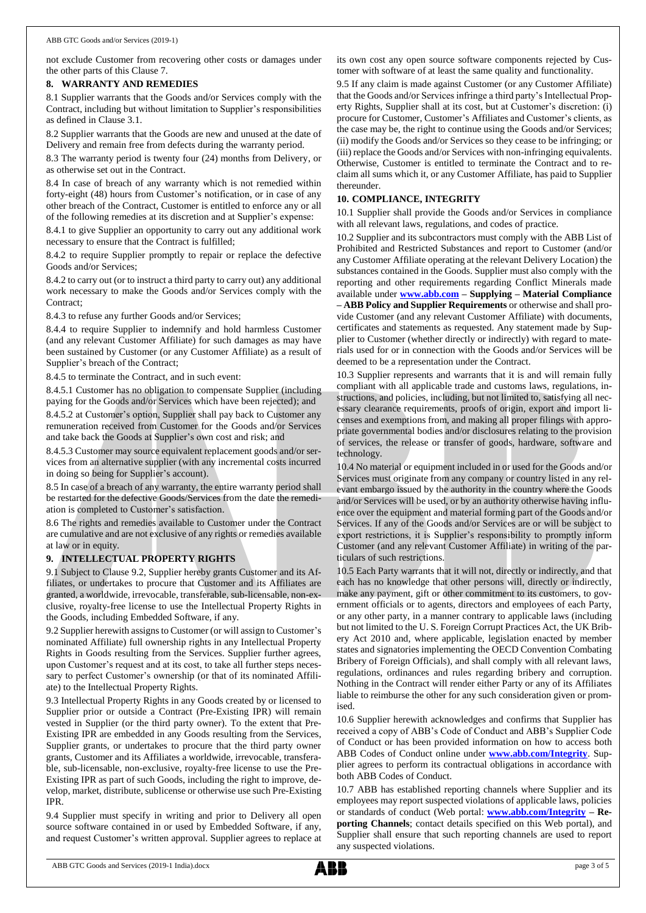not exclude Customer from recovering other costs or damages under the other parts of this Clause 7.

## **8. WARRANTY AND REMEDIES**

8.1 Supplier warrants that the Goods and/or Services comply with the Contract, including but without limitation to Supplier's responsibilities as defined in Clause 3.1.

8.2 Supplier warrants that the Goods are new and unused at the date of Delivery and remain free from defects during the warranty period.

8.3 The warranty period is twenty four (24) months from Delivery, or as otherwise set out in the Contract.

8.4 In case of breach of any warranty which is not remedied within forty-eight (48) hours from Customer's notification, or in case of any other breach of the Contract, Customer is entitled to enforce any or all of the following remedies at its discretion and at Supplier's expense:

8.4.1 to give Supplier an opportunity to carry out any additional work necessary to ensure that the Contract is fulfilled;

8.4.2 to require Supplier promptly to repair or replace the defective Goods and/or Services;

8.4.2 to carry out (or to instruct a third party to carry out) any additional work necessary to make the Goods and/or Services comply with the Contract;

8.4.3 to refuse any further Goods and/or Services;

8.4.4 to require Supplier to indemnify and hold harmless Customer (and any relevant Customer Affiliate) for such damages as may have been sustained by Customer (or any Customer Affiliate) as a result of Supplier's breach of the Contract;

8.4.5 to terminate the Contract, and in such event:

8.4.5.1 Customer has no obligation to compensate Supplier (including paying for the Goods and/or Services which have been rejected); and

8.4.5.2 at Customer's option, Supplier shall pay back to Customer any remuneration received from Customer for the Goods and/or Services and take back the Goods at Supplier's own cost and risk; and

8.4.5.3 Customer may source equivalent replacement goods and/or services from an alternative supplier (with any incremental costs incurred in doing so being for Supplier's account).

8.5 In case of a breach of any warranty, the entire warranty period shall be restarted for the defective Goods/Services from the date the remediation is completed to Customer's satisfaction.

8.6 The rights and remedies available to Customer under the Contract are cumulative and are not exclusive of any rights or remedies available at law or in equity.

## **9. INTELLECTUAL PROPERTY RIGHTS**

9.1 Subject to Clause 9.2, Supplier hereby grants Customer and its Affiliates, or undertakes to procure that Customer and its Affiliates are granted, a worldwide, irrevocable, transferable, sub-licensable, non-exclusive, royalty-free license to use the Intellectual Property Rights in the Goods, including Embedded Software, if any.

9.2 Supplier herewith assigns to Customer (or will assign to Customer's nominated Affiliate) full ownership rights in any Intellectual Property Rights in Goods resulting from the Services. Supplier further agrees, upon Customer's request and at its cost, to take all further steps necessary to perfect Customer's ownership (or that of its nominated Affiliate) to the Intellectual Property Rights.

9.3 Intellectual Property Rights in any Goods created by or licensed to Supplier prior or outside a Contract (Pre-Existing IPR) will remain vested in Supplier (or the third party owner). To the extent that Pre-Existing IPR are embedded in any Goods resulting from the Services, Supplier grants, or undertakes to procure that the third party owner grants, Customer and its Affiliates a worldwide, irrevocable, transferable, sub-licensable, non-exclusive, royalty-free license to use the Pre-Existing IPR as part of such Goods, including the right to improve, develop, market, distribute, sublicense or otherwise use such Pre-Existing IPR.

9.4 Supplier must specify in writing and prior to Delivery all open source software contained in or used by Embedded Software, if any, and request Customer's written approval. Supplier agrees to replace at its own cost any open source software components rejected by Customer with software of at least the same quality and functionality.

9.5 If any claim is made against Customer (or any Customer Affiliate) that the Goods and/or Services infringe a third party's Intellectual Property Rights, Supplier shall at its cost, but at Customer's discretion: (i) procure for Customer, Customer's Affiliates and Customer's clients, as the case may be, the right to continue using the Goods and/or Services; (ii) modify the Goods and/or Services so they cease to be infringing; or (iii) replace the Goods and/or Services with non-infringing equivalents. Otherwise, Customer is entitled to terminate the Contract and to reclaim all sums which it, or any Customer Affiliate, has paid to Supplier thereunder.

## **10. COMPLIANCE, INTEGRITY**

10.1 Supplier shall provide the Goods and/or Services in compliance with all relevant laws, regulations, and codes of practice.

10.2 Supplier and its subcontractors must comply with the ABB List of Prohibited and Restricted Substances and report to Customer (and/or any Customer Affiliate operating at the relevant Delivery Location) the substances contained in the Goods. Supplier must also comply with the reporting and other requirements regarding Conflict Minerals made available under **[www.abb.com](http://www.abb.com/) – Supplying – Material Compliance – ABB Policy and Supplier Requirements** or otherwise and shall provide Customer (and any relevant Customer Affiliate) with documents, certificates and statements as requested. Any statement made by Supplier to Customer (whether directly or indirectly) with regard to materials used for or in connection with the Goods and/or Services will be deemed to be a representation under the Contract.

10.3 Supplier represents and warrants that it is and will remain fully compliant with all applicable trade and customs laws, regulations, instructions, and policies, including, but not limited to, satisfying all necessary clearance requirements, proofs of origin, export and import licenses and exemptions from, and making all proper filings with appropriate governmental bodies and/or disclosures relating to the provision of services, the release or transfer of goods, hardware, software and technology.

10.4 No material or equipment included in or used for the Goods and/or Services must originate from any company or country listed in any relevant embargo issued by the authority in the country where the Goods and/or Services will be used, or by an authority otherwise having influence over the equipment and material forming part of the Goods and/or Services. If any of the Goods and/or Services are or will be subject to export restrictions, it is Supplier's responsibility to promptly inform Customer (and any relevant Customer Affiliate) in writing of the particulars of such restrictions.

10.5 Each Party warrants that it will not, directly or indirectly, and that each has no knowledge that other persons will, directly or indirectly, make any payment, gift or other commitment to its customers, to government officials or to agents, directors and employees of each Party, or any other party, in a manner contrary to applicable laws (including but not limited to the U. S. Foreign Corrupt Practices Act, the UK Bribery Act 2010 and, where applicable, legislation enacted by member states and signatories implementing the OECD Convention Combating Bribery of Foreign Officials), and shall comply with all relevant laws, regulations, ordinances and rules regarding bribery and corruption. Nothing in the Contract will render either Party or any of its Affiliates liable to reimburse the other for any such consideration given or promised.

10.6 Supplier herewith acknowledges and confirms that Supplier has received a copy of ABB's Code of Conduct and ABB's Supplier Code of Conduct or has been provided information on how to access both ABB Codes of Conduct online under **[www.abb.com/Integrity](http://www.abb.com/Integrity)**. Supplier agrees to perform its contractual obligations in accordance with both ABB Codes of Conduct.

10.7 ABB has established reporting channels where Supplier and its employees may report suspected violations of applicable laws, policies or standards of conduct (Web portal: **[www.abb.com/Integrity](http://www.abb.com/Integrity) – Reporting Channels**; contact details specified on this Web portal), and Supplier shall ensure that such reporting channels are used to report any suspected violations.

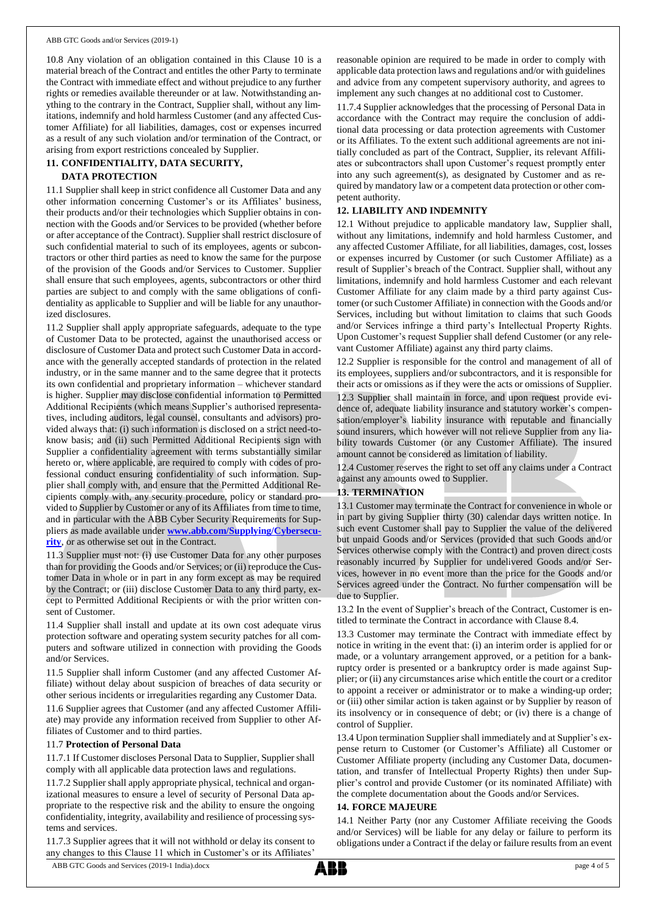10.8 Any violation of an obligation contained in this Clause 10 is a material breach of the Contract and entitles the other Party to terminate the Contract with immediate effect and without prejudice to any further rights or remedies available thereunder or at law. Notwithstanding anything to the contrary in the Contract, Supplier shall, without any limitations, indemnify and hold harmless Customer (and any affected Customer Affiliate) for all liabilities, damages, cost or expenses incurred as a result of any such violation and/or termination of the Contract, or arising from export restrictions concealed by Supplier.

# **11. CONFIDENTIALITY, DATA SECURITY, DATA PROTECTION**

11.1 Supplier shall keep in strict confidence all Customer Data and any other information concerning Customer's or its Affiliates' business, their products and/or their technologies which Supplier obtains in connection with the Goods and/or Services to be provided (whether before or after acceptance of the Contract). Supplier shall restrict disclosure of such confidential material to such of its employees, agents or subcontractors or other third parties as need to know the same for the purpose of the provision of the Goods and/or Services to Customer. Supplier shall ensure that such employees, agents, subcontractors or other third parties are subject to and comply with the same obligations of confidentiality as applicable to Supplier and will be liable for any unauthorized disclosures.

11.2 Supplier shall apply appropriate safeguards, adequate to the type of Customer Data to be protected, against the unauthorised access or disclosure of Customer Data and protect such Customer Data in accordance with the generally accepted standards of protection in the related industry, or in the same manner and to the same degree that it protects its own confidential and proprietary information – whichever standard is higher. Supplier may disclose confidential information to Permitted Additional Recipients (which means Supplier's authorised representatives, including auditors, legal counsel, consultants and advisors) provided always that: (i) such information is disclosed on a strict need-toknow basis; and (ii) such Permitted Additional Recipients sign with Supplier a confidentiality agreement with terms substantially similar hereto or, where applicable, are required to comply with codes of professional conduct ensuring confidentiality of such information. Supplier shall comply with, and ensure that the Permitted Additional Recipients comply with, any security procedure, policy or standard provided to Supplier by Customer or any of its Affiliates from time to time, and in particular with the ABB Cyber Security Requirements for Suppliers as made available under **[www.abb.com/Supplying/Cybersecu](http://www.abb.com/Supplying/Cybersecurity)[rity](http://www.abb.com/Supplying/Cybersecurity)**, or as otherwise set out in the Contract.

11.3 Supplier must not: (i) use Customer Data for any other purposes than for providing the Goods and/or Services; or (ii) reproduce the Customer Data in whole or in part in any form except as may be required by the Contract; or (iii) disclose Customer Data to any third party, except to Permitted Additional Recipients or with the prior written consent of Customer.

11.4 Supplier shall install and update at its own cost adequate virus protection software and operating system security patches for all computers and software utilized in connection with providing the Goods and/or Services.

11.5 Supplier shall inform Customer (and any affected Customer Affiliate) without delay about suspicion of breaches of data security or other serious incidents or irregularities regarding any Customer Data.

11.6 Supplier agrees that Customer (and any affected Customer Affiliate) may provide any information received from Supplier to other Affiliates of Customer and to third parties.

## 11.7 **Protection of Personal Data**

11.7.1 If Customer discloses Personal Data to Supplier, Supplier shall comply with all applicable data protection laws and regulations.

11.7.2 Supplier shall apply appropriate physical, technical and organizational measures to ensure a level of security of Personal Data appropriate to the respective risk and the ability to ensure the ongoing confidentiality, integrity, availability and resilience of processing systems and services.

11.7.3 Supplier agrees that it will not withhold or delay its consent to any changes to this Clause 11 which in Customer's or its Affiliates'

reasonable opinion are required to be made in order to comply with applicable data protection laws and regulations and/or with guidelines and advice from any competent supervisory authority, and agrees to implement any such changes at no additional cost to Customer.

11.7.4 Supplier acknowledges that the processing of Personal Data in accordance with the Contract may require the conclusion of additional data processing or data protection agreements with Customer or its Affiliates. To the extent such additional agreements are not initially concluded as part of the Contract, Supplier, its relevant Affiliates or subcontractors shall upon Customer's request promptly enter into any such agreement(s), as designated by Customer and as required by mandatory law or a competent data protection or other competent authority.

# **12. LIABILITY AND INDEMNITY**

12.1 Without prejudice to applicable mandatory law, Supplier shall, without any limitations, indemnify and hold harmless Customer, and any affected Customer Affiliate, for all liabilities, damages, cost, losses or expenses incurred by Customer (or such Customer Affiliate) as a result of Supplier's breach of the Contract. Supplier shall, without any limitations, indemnify and hold harmless Customer and each relevant Customer Affiliate for any claim made by a third party against Customer (or such Customer Affiliate) in connection with the Goods and/or Services, including but without limitation to claims that such Goods and/or Services infringe a third party's Intellectual Property Rights. Upon Customer's request Supplier shall defend Customer (or any relevant Customer Affiliate) against any third party claims.

12.2 Supplier is responsible for the control and management of all of its employees, suppliers and/or subcontractors, and it is responsible for their acts or omissions as if they were the acts or omissions of Supplier.

12.3 Supplier shall maintain in force, and upon request provide evidence of, adequate liability insurance and statutory worker's compensation/employer's liability insurance with reputable and financially sound insurers, which however will not relieve Supplier from any liability towards Customer (or any Customer Affiliate). The insured amount cannot be considered as limitation of liability.

12.4 Customer reserves the right to set off any claims under a Contract against any amounts owed to Supplier.

## **13. TERMINATION**

13.1 Customer may terminate the Contract for convenience in whole or in part by giving Supplier thirty (30) calendar days written notice. In such event Customer shall pay to Supplier the value of the delivered but unpaid Goods and/or Services (provided that such Goods and/or Services otherwise comply with the Contract) and proven direct costs reasonably incurred by Supplier for undelivered Goods and/or Services, however in no event more than the price for the Goods and/or Services agreed under the Contract. No further compensation will be due to Supplier.

13.2 In the event of Supplier's breach of the Contract, Customer is entitled to terminate the Contract in accordance with Clause 8.4.

13.3 Customer may terminate the Contract with immediate effect by notice in writing in the event that: (i) an interim order is applied for or made, or a voluntary arrangement approved, or a petition for a bankruptcy order is presented or a bankruptcy order is made against Supplier; or (ii) any circumstances arise which entitle the court or a creditor to appoint a receiver or administrator or to make a winding-up order; or (iii) other similar action is taken against or by Supplier by reason of its insolvency or in consequence of debt; or (iv) there is a change of control of Supplier.

13.4 Upon termination Supplier shall immediately and at Supplier's expense return to Customer (or Customer's Affiliate) all Customer or Customer Affiliate property (including any Customer Data, documentation, and transfer of Intellectual Property Rights) then under Supplier's control and provide Customer (or its nominated Affiliate) with the complete documentation about the Goods and/or Services.

#### **14. FORCE MAJEURE**

14.1 Neither Party (nor any Customer Affiliate receiving the Goods and/or Services) will be liable for any delay or failure to perform its obligations under a Contract if the delay or failure results from an event